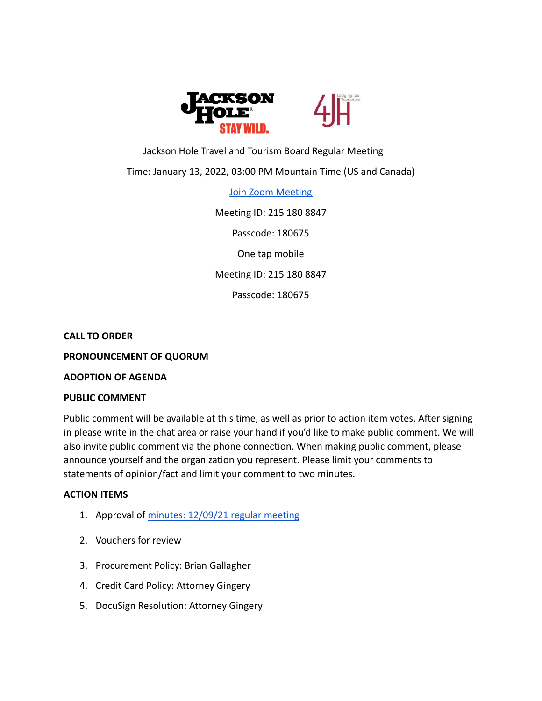

# Jackson Hole Travel and Tourism Board Regular Meeting

### Time: January 13, 2022, 03:00 PM Mountain Time (US and Canada)

[Join Zoom Meeting](https://us02web.zoom.us/j/2151808847?pwd=QktFU1RhY00vb3U3Ymt2TEVwcjJTUT09)

Meeting ID: 215 180 8847

Passcode: 180675

One tap mobile

Meeting ID: 215 180 8847

Passcode: 180675

#### **CALL TO ORDER**

**PRONOUNCEMENT OF QUORUM**

**ADOPTION OF AGENDA**

#### **PUBLIC COMMENT**

Public comment will be available at this time, as well as prior to action item votes. After signing in please write in the chat area or raise your hand if you'd like to make public comment. We will also invite public comment via the phone connection. When making public comment, please announce yourself and the organization you represent. Please limit your comments to statements of opinion/fact and limit your comment to two minutes.

### **ACTION ITEMS**

- 1. Approval of [minutes: 12/09/21 regular meeting](https://drive.google.com/file/d/1zyQiS-mYxf633wMUp8fb3fecsEJzoxQ-/view?usp=sharing)
- 2. Vouchers for review
- 3. Procurement Policy: Brian Gallagher
- 4. Credit Card Policy: Attorney Gingery
- 5. DocuSign Resolution: Attorney Gingery